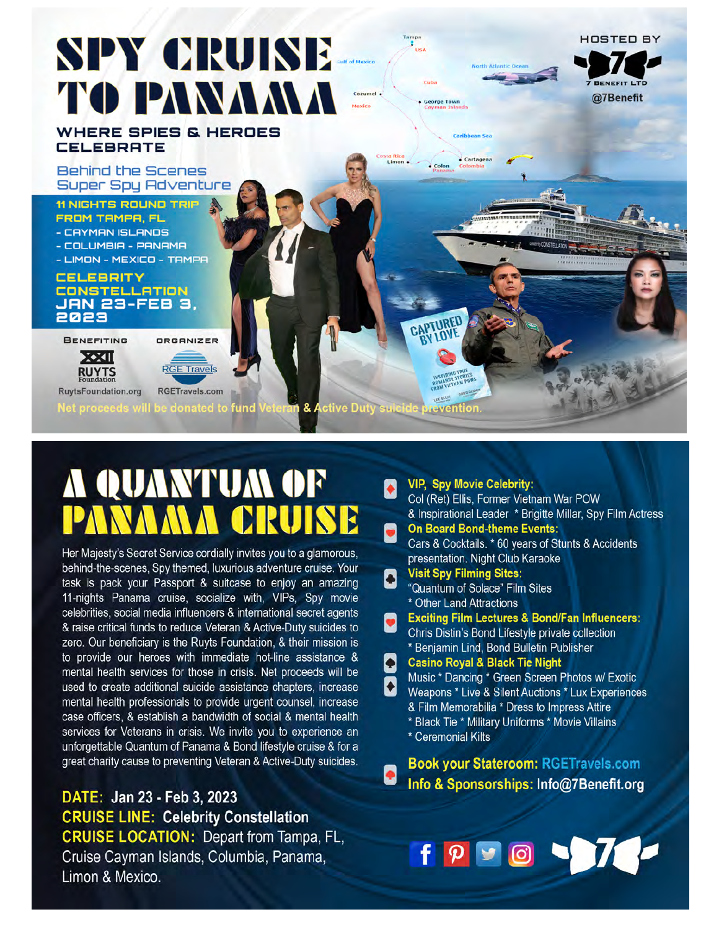# **SPY CRUISE** TO PANAMA

**WHERE SPIES & HEROES CELEBRATE** 

**Behind the Scenes Super Spy Adventure** 

#### **11 NIGHTS ROUND TRIF** FROM TAMPA, FL

- CAYMAN ISLANDS
- COLUMBIA PANAMA
- LIMON MEXICO TAMPA

#### **CELEBRITY** CONSTELLATION<br>JAN 23-FEB 3, 2023

BENEFITING





**RuytsFoundation.org** 

fund & Active Duty suic

## **A QUANTUM OF** CRUISE

Her Majesty's Secret Service cordially invites you to a glamorous, behind-the-scenes, Spy themed, luxurious adventure cruise. Your task is pack your Passport & suitcase to enjoy an amazing 11-nights Panama cruise, socialize with, VIPs, Spy movie celebrities, social media influencers & international secret agents & raise critical funds to reduce Veteran & Active-Duty suicides to zero. Our beneficiary is the Ruyts Foundation, & their mission is to provide our heroes with immediate hot-line assistance & mental health services for those in crisis. Net proceeds will be used to create additional suicide assistance chapters, increase mental health professionals to provide urgent counsel, increase case officers, & establish a bandwidth of social & mental health services for Veterans in crisis. We invite you to experience an unforgettable Quantum of Panama & Bond lifestyle cruise & for a great charity cause to preventing Veteran & Active-Duty suicides.

DATE: Jan 23 - Feb 3, 2023 **CRUISE LINE: Celebrity Constellation CRUISE LOCATION: Depart from Tampa, FL,** Cruise Cayman Islands, Columbia, Panama, Limon & Mexico.

|  | <b>VIP, Spy Movie Celebrity:</b><br>Col (Ret) Ellis, Former Vietnam War POW                      |  |  |  |  |
|--|--------------------------------------------------------------------------------------------------|--|--|--|--|
|  | & Inspirational Leader * Brigitte Millar, Spy Film Actress<br><b>On Board Bond-theme Events:</b> |  |  |  |  |
|  | Cars & Cocktails. * 60 years of Stunts & Accidents                                               |  |  |  |  |
|  | presentation. Night Club Karaoke                                                                 |  |  |  |  |
|  | <b>Visit Spy Filming Sites:</b>                                                                  |  |  |  |  |
|  | "Quantum of Solace" Film Sites                                                                   |  |  |  |  |
|  | * Other Land Attractions                                                                         |  |  |  |  |
|  | <b>Exciting Film Lectures &amp; Bond/Fan Influencers:</b>                                        |  |  |  |  |
|  | Chris Distin's Bond Lifestyle private collection                                                 |  |  |  |  |
|  | * Benjamin Lind, Bond Bulletin Publisher                                                         |  |  |  |  |
|  | <b>Casino Royal &amp; Black Tie Night</b>                                                        |  |  |  |  |
|  | Music * Dancing * Green Screen Photos w/ Exotic                                                  |  |  |  |  |
|  | Weapons * Live & Silent Auctions * Lux Experiences                                               |  |  |  |  |
|  | & Film Memorabilia * Dress to Impress Attire                                                     |  |  |  |  |
|  | * Black Tie * Military Uniforms * Movie Villains                                                 |  |  |  |  |
|  | * Ceremonial Kilts                                                                               |  |  |  |  |
|  | <b>Book your Stateroom: RGETravels.com</b>                                                       |  |  |  |  |
|  |                                                                                                  |  |  |  |  |
|  | Info & Sponsorships: Info@7Benefit.org                                                           |  |  |  |  |



**HOSTED BY** 

@7Benefit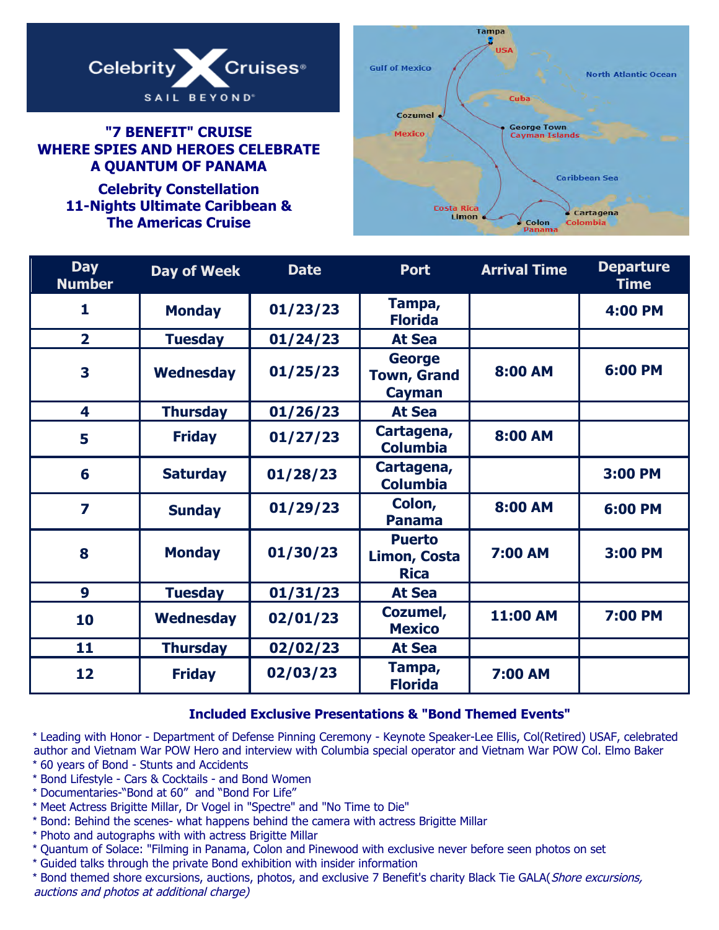

#### **"7 BENEFIT" CRUISE WHERE SPIES AND HEROES CELEBRATE A QUANTUM OF PANAMA**

**Celebrity Constellation 11-Nights Ultimate Caribbean & The Americas Cruise**



| <b>Day</b><br><b>Number</b> | <b>Day of Week</b> | <b>Date</b> | <b>Port</b>                                          | <b>Arrival Time</b> | <b>Departure</b><br><b>Time</b> |
|-----------------------------|--------------------|-------------|------------------------------------------------------|---------------------|---------------------------------|
| 1                           | <b>Monday</b>      | 01/23/23    | Tampa,<br><b>Florida</b>                             |                     | <b>4:00 PM</b>                  |
| $\overline{2}$              | <b>Tuesday</b>     | 01/24/23    | <b>At Sea</b>                                        |                     |                                 |
| 3                           | <b>Wednesday</b>   | 01/25/23    | <b>George</b><br><b>Town, Grand</b><br><b>Cayman</b> | 8:00 AM             | 6:00 PM                         |
| 4                           | <b>Thursday</b>    | 01/26/23    | <b>At Sea</b>                                        |                     |                                 |
| 5                           | <b>Friday</b>      | 01/27/23    | Cartagena,<br><b>Columbia</b>                        | 8:00 AM             |                                 |
| 6                           | <b>Saturday</b>    | 01/28/23    | Cartagena,<br><b>Columbia</b>                        |                     | 3:00 PM                         |
| $\overline{\mathbf{z}}$     | <b>Sunday</b>      | 01/29/23    | Colon,<br><b>Panama</b>                              | 8:00 AM             | 6:00 PM                         |
| 8                           | <b>Monday</b>      | 01/30/23    | <b>Puerto</b><br><b>Limon, Costa</b><br><b>Rica</b>  | <b>7:00 AM</b>      | 3:00 PM                         |
| 9                           | <b>Tuesday</b>     | 01/31/23    | <b>At Sea</b>                                        |                     |                                 |
| 10                          | <b>Wednesday</b>   | 02/01/23    | Cozumel,<br><b>Mexico</b>                            | 11:00 AM            | <b>7:00 PM</b>                  |
| 11                          | <b>Thursday</b>    | 02/02/23    | <b>At Sea</b>                                        |                     |                                 |
| 12                          | <b>Friday</b>      | 02/03/23    | Tampa,<br><b>Florida</b>                             | <b>7:00 AM</b>      |                                 |

#### **Included Exclusive Presentations & "Bond Themed Events"**

\* Leading with Honor - Department of Defense Pinning Ceremony - Keynote Speaker-Lee Ellis, Col(Retired) USAF, celebrated author and Vietnam War POW Hero and interview with Columbia special operator and Vietnam War POW Col. Elmo Baker

- \* 60 years of Bond Stunts and Accidents
- \* Bond Lifestyle Cars & Cocktails and Bond Women
- \* Documentaries-"Bond at 60" and "Bond For Life"
- \* Meet Actress Brigitte Millar, Dr Vogel in "Spectre" and "No Time to Die"
- \* Bond: Behind the scenes- what happens behind the camera with actress Brigitte Millar
- \* Photo and autographs with with actress Brigitte Millar
- \* Quantum of Solace: "Filming in Panama, Colon and Pinewood with exclusive never before seen photos on set
- \* Guided talks through the private Bond exhibition with insider information

\* Bond themed shore excursions, auctions, photos, and exclusive 7 Benefit's charity Black Tie GALA( Shore excursions, auctions and photos at additional charge)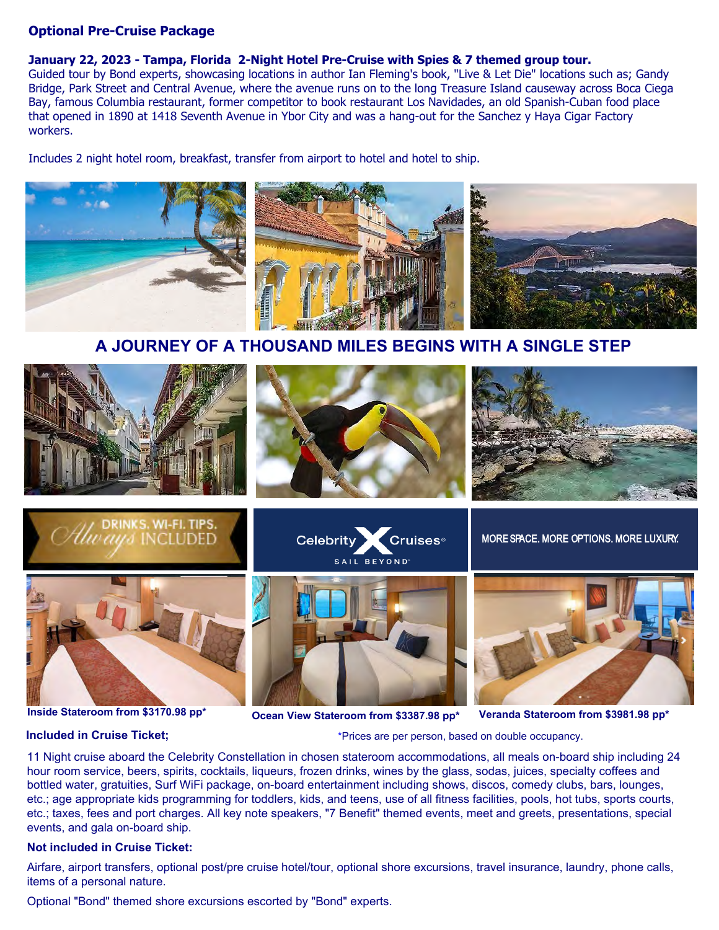#### **Optional Pre-Cruise Package**

#### **January 22, 2023 - Tampa, Florida 2-Night Hotel Pre-Cruise with Spies & 7 themed group tour.**

Guided tour by Bond experts, showcasing locations in author Ian Fleming's book, "Live & Let Die" locations such as; Gandy Bridge, Park Street and Central Avenue, where the avenue runs on to the long Treasure Island causeway across Boca Ciega Bay, famous Columbia restaurant, former competitor to book restaurant Los Navidades, an old Spanish-Cuban food place that opened in 1890 at 1418 Seventh Avenue in Ybor City and was a hang-out for the Sanchez y Haya Cigar Factory workers.

Includes 2 night hotel room, breakfast, transfer from airport to hotel and hotel to ship.



**A JOURNEY OF A THOUSAND MILES BEGINS WITH A SINGLE STEP**



**Inside Stateroom from \$3170.98 pp\***

#### **Included in Cruise Ticket;**

**Ocean View Stateroom from \$3387.98 pp\* Veranda Stateroom from \$3981.98 pp\***

\*Prices are per person, based on double occupancy.

11 Night cruise aboard the Celebrity Constellation in chosen stateroom accommodations, all meals on-board ship including 24 hour room service, beers, spirits, cocktails, liqueurs, frozen drinks, wines by the glass, sodas, juices, specialty coffees and bottled water, gratuities, Surf WiFi package, on-board entertainment including shows, discos, comedy clubs, bars, lounges, etc.; age appropriate kids programming for toddlers, kids, and teens, use of all fitness facilities, pools, hot tubs, sports courts, etc.; taxes, fees and port charges. All key note speakers, "7 Benefit" themed events, meet and greets, presentations, special events, and gala on-board ship.

#### **Not included in Cruise Ticket:**

Airfare, airport transfers, optional post/pre cruise hotel/tour, optional shore excursions, travel insurance, laundry, phone calls, items of a personal nature.

Optional "Bond" themed shore excursions escorted by "Bond" experts.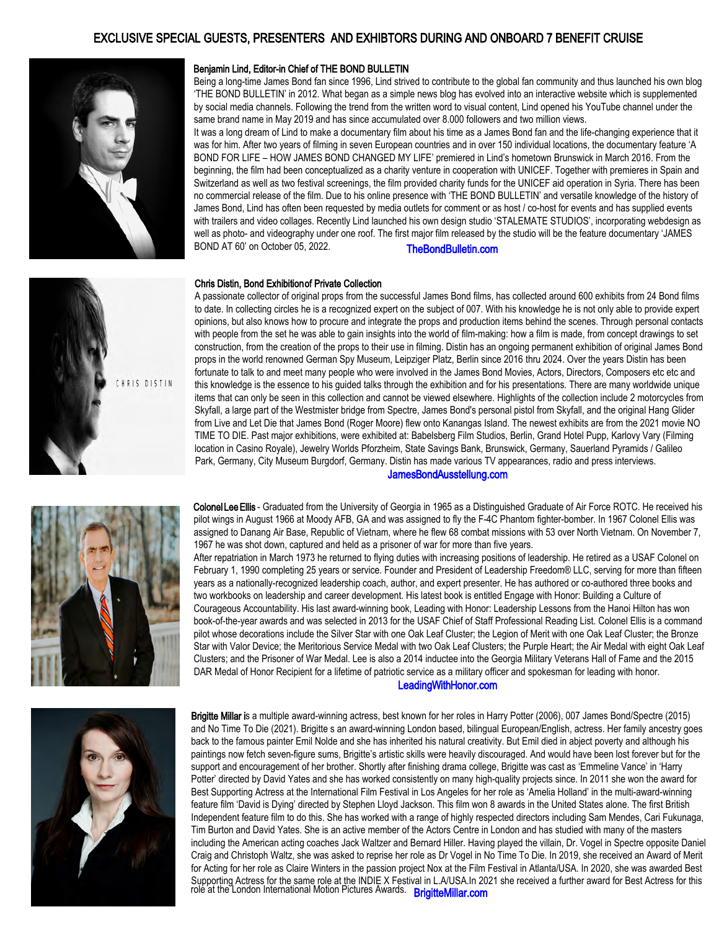#### EXCLUSIVE SPECIAL GUESTS, PRESENTERS AND EXHIBTORS DURING AND ONBOARD 7 BENEFIT CRUISE



#### Benjamin Lind, Editor-in Chief of THE BOND BULLETIN

Being a long-time James Bond fan since 1996, Lind strived to contribute to the global fan community and thus launched his own blog 'THE BOND BULLETIN' in 2012. What began as a simple news blog has evolved into an interactive website which is supplemented by social media channels. Following the trend from the written word to visual content, Lind opened his YouTube channel under the same brand name in May 2019 and has since accumulated over 8.000 followers and two million views.

It was a long dream of Lind to make a documentary film about his time as a James Bond fan and the life-changing experience that it was for him. After two years of filming in seven European countries and in over 150 individual locations, the documentary feature 'A BOND FOR LIFE – HOW JAMES BOND CHANGED MY LIFE' premiered in Lind's hometown Brunswick in March 2016. From the beginning, the film had been conceptualized as a charity venture in cooperation with UNICEF. Together with premieres in Spain and Switzerland as well as two festival screenings, the film provided charity funds for the UNICEF aid operation in Syria. There has been no commercial release of the film. Due to his online presence with 'THE BOND BULLETIN' and versatile knowledge of the history of James Bond, Lind has often been requested by media outlets for comment or as host / co-host for events and has supplied events with trailers and video collages. Recently Lind launched his own design studio 'STALEMATE STUDIOS', incorporating webdesign as well as photo- and videography under one roof. The first major film released by the studio will be the feature documentary 'JAMES BOND AT 60' on October 05, 2022. [TheBondBulletin.com](https://www.thebondbulletin.com/)

#### Chris Distin, Bond Exhibition of Private Collection

A passionate collector of original props from the successful James Bond films, has collected around 600 exhibits from 24 Bond films to date. In collecting circles he is a recognized expert on the subject of 007. With his knowledge he is not only able to provide expert opinions, but also knows how to procure and integrate the props and production items behind the scenes. Through personal contacts with people from the set he was able to gain insights into the world of film-making: how a film is made, from concept drawings to set construction, from the creation of the props to their use in filming. Distin has an ongoing permanent exhibition of original James Bond props in the world renowned German Spy Museum, Leipziger Platz, Berlin since 2016 thru 2024. Over the years Distin has been fortunate to talk to and meet many people who were involved in the James Bond Movies, Actors, Directors, Composers etc etc and this knowledge is the essence to his guided talks through the exhibition and for his presentations. There are many worldwide unique items that can only be seen in this collection and cannot be viewed elsewhere. Highlights of the collection include 2 motorcycles from Skyfall, a large part of the Westmister bridge from Spectre, James Bond's personal pistol from Skyfall, and the original Hang Glider from Live and Let Die that James Bond (Roger Moore) flew onto Kanangas Island. The newest exhibits are from the 2021 movie NO TIME TO DIE. Past major exhibitions, were exhibited at: Babelsberg Film Studios, Berlin, Grand Hotel Pupp, Karlovy Vary (Filming location in Casino Royale), Jewelry Worlds Pforzheim, State Savings Bank, Brunswick, Germany, Sauerland Pyramids / Galileo Park, Germany, City Museum Burgdorf, Germany. Distin has made various TV appearances, radio and press interviews.





HRIS DISTIN

Colonel Lee Ellis - Graduated from the University of Georgia in 1965 as a Distinguished Graduate of Air Force ROTC. He received his pilot wings in August 1966 at Moody AFB, GA and was assigned to fly the F-4C Phantom fighter-bomber. In 1967 Colonel Ellis was assigned to Danang Air Base, Republic of Vietnam, where he flew 68 combat missions with 53 over North Vietnam. On November 7, 1967 he was shot down, captured and held as a prisoner of war for more than five years. After repatriation in March 1973 he returned to flying duties with increasing positions of leadership. He retired as a USAF Colonel on February 1, 1990 completing 25 years or service. Founder and President of Leadership Freedom® LLC, serving for more than fifteen years as a nationally-recognized leadership coach, author, and expert presenter. He has authored or co-authored three books and two workbooks on leadership and career development. His latest book is entitled Engage with Honor: Building a Culture of Courageous Accountability. His last award-winning book, Leading with Honor: Leadership Lessons from the Hanoi Hilton has won

book-of-the-year awards and was selected in 2013 for the USAF Chief of Staff Professional Reading List. Colonel Ellis is a command pilot whose decorations include the Silver Star with one Oak Leaf Cluster; the Legion of Merit with one Oak Leaf Cluster; the Bronze Star with Valor Device; the Meritorious Service Medal with two Oak Leaf Clusters; the Purple Heart; the Air Medal with eight Oak Leaf Clusters; and the Prisoner of War Medal. Lee is also a 2014 inductee into the Georgia Military Veterans Hall of Fame and the 2015 DAR Medal of Honor Recipient for a lifetime of patriotic service as a military officer and spokesman for leading with honor.

#### [LeadingWithHonor.com](https://www.leadingwithhonor.com/)



role at the London International Motion Pictures Awards. **[BrigitteMillar.com](https://www.brigittemillar.com/)** Brigitte Millar is a multiple award-winning actress, best known for her roles in Harry Potter (2006), 007 James Bond/Spectre (2015) and No Time To Die (2021). Brigitte s an award-winning London based, bilingual European/English, actress. Her family ancestry goes back to the famous painter Emil Nolde and she has inherited his natural creativity. But Emil died in abject poverty and although his paintings now fetch seven-figure sums, Brigitte's artistic skills were heavily discouraged. And would have been lost forever but for the support and encouragement of her brother. Shortly after finishing drama college, Brigitte was cast as 'Emmeline Vance' in 'Harry Potter' directed by David Yates and she has worked consistently on many high-quality projects since. In 2011 she won the award for Best Supporting Actress at the International Film Festival in Los Angeles for her role as 'Amelia Holland' in the multi-award-winning feature film 'David is Dying' directed by Stephen Lloyd Jackson. This film won 8 awards in the United States alone. The first British Independent feature film to do this. She has worked with a range of highly respected directors including Sam Mendes, Cari Fukunaga, Tim Burton and David Yates. She is an active member of the Actors Centre in London and has studied with many of the masters including the American acting coaches Jack Waltzer and Bernard Hiller. Having played the villain, Dr. Vogel in Spectre opposite Daniel Craig and Christoph Waltz, she was asked to reprise her role as Dr Vogel in No Time To Die. In 2019, she received an Award of Merit for Acting for her role as Claire Winters in the passion project Nox at the Film Festival in Atlanta/USA. In 2020, she was awarded Best Supporting Actress for the same role at the INDIE X Festival in L.A/USA.In 2021 she received a further award for Best Actress for this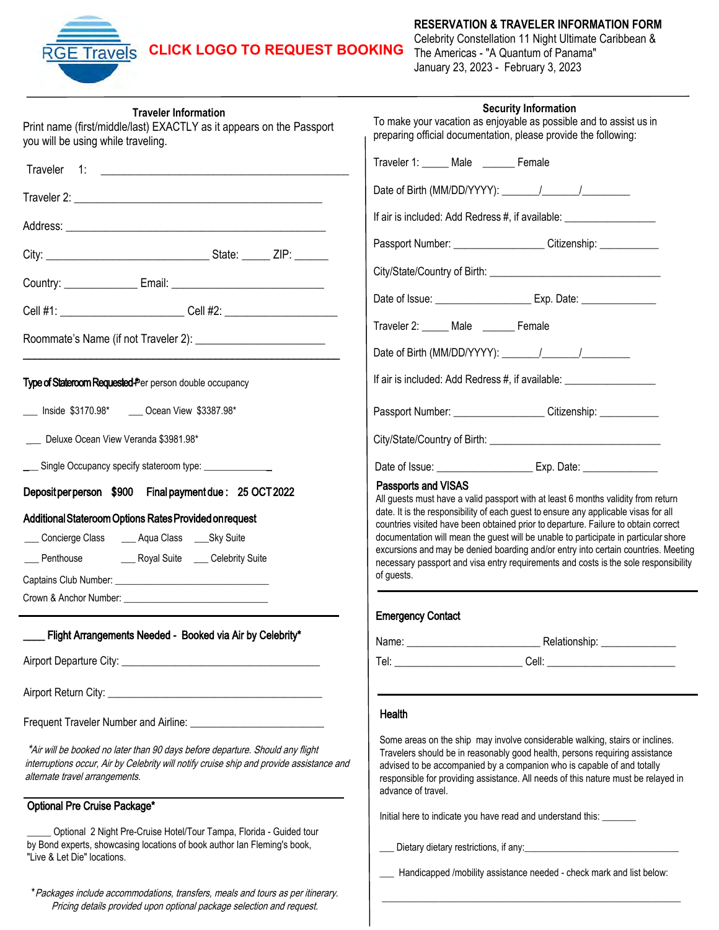### **Travels CLICK LOGO [TO REQUEST BOOKING](https://www.funseas.com/spies)**

#### **RESERVATION & TRAVELER INFORMATION FORM**

Celebrity Constellation 11 Night Ultimate Caribbean & The Americas - "A Quantum of Panama" January 23, 2023 - February 3, 2023

\_\_\_\_\_\_\_\_\_\_\_\_\_\_\_\_\_\_\_\_\_\_\_\_\_\_\_\_\_\_\_\_\_\_\_\_\_\_\_\_\_\_\_\_\_\_\_\_\_\_\_\_\_\_\_\_\_\_\_\_\_\_

| <b>Traveler Information</b><br>Print name (first/middle/last) EXACTLY as it appears on the Passport<br>you will be using while traveling.                                                                                           | <b>Security Information</b><br>To make your vacation as enjoyable as possible and to assist us in<br>preparing official documentation, please provide the following:                                                                                                                                                                                                                                                                                                                                                                                                    |  |  |  |
|-------------------------------------------------------------------------------------------------------------------------------------------------------------------------------------------------------------------------------------|-------------------------------------------------------------------------------------------------------------------------------------------------------------------------------------------------------------------------------------------------------------------------------------------------------------------------------------------------------------------------------------------------------------------------------------------------------------------------------------------------------------------------------------------------------------------------|--|--|--|
|                                                                                                                                                                                                                                     | Traveler 1: Male Female                                                                                                                                                                                                                                                                                                                                                                                                                                                                                                                                                 |  |  |  |
|                                                                                                                                                                                                                                     |                                                                                                                                                                                                                                                                                                                                                                                                                                                                                                                                                                         |  |  |  |
|                                                                                                                                                                                                                                     | If air is included: Add Redress #, if available: _______________________________                                                                                                                                                                                                                                                                                                                                                                                                                                                                                        |  |  |  |
|                                                                                                                                                                                                                                     | Passport Number: _____________________Citizenship: _____________                                                                                                                                                                                                                                                                                                                                                                                                                                                                                                        |  |  |  |
|                                                                                                                                                                                                                                     |                                                                                                                                                                                                                                                                                                                                                                                                                                                                                                                                                                         |  |  |  |
| Cell #1: _____________________________Cell #2: _________________________________                                                                                                                                                    | Date of Issue: ____________________________ Exp. Date: _________________________                                                                                                                                                                                                                                                                                                                                                                                                                                                                                        |  |  |  |
|                                                                                                                                                                                                                                     | Traveler 2: Male _____ Female                                                                                                                                                                                                                                                                                                                                                                                                                                                                                                                                           |  |  |  |
|                                                                                                                                                                                                                                     |                                                                                                                                                                                                                                                                                                                                                                                                                                                                                                                                                                         |  |  |  |
| Type of Stateroom Requested-Per person double occupancy                                                                                                                                                                             | If air is included: Add Redress #, if available: _______________________________                                                                                                                                                                                                                                                                                                                                                                                                                                                                                        |  |  |  |
| ___ Inside \$3170.98* ___ Ocean View \$3387.98*                                                                                                                                                                                     | Passport Number: Citizenship:                                                                                                                                                                                                                                                                                                                                                                                                                                                                                                                                           |  |  |  |
| Deluxe Ocean View Veranda \$3981.98*                                                                                                                                                                                                |                                                                                                                                                                                                                                                                                                                                                                                                                                                                                                                                                                         |  |  |  |
| ___ Single Occupancy specify stateroom type: ______________                                                                                                                                                                         | Date of Issue: ___________________________ Exp. Date: __________________________                                                                                                                                                                                                                                                                                                                                                                                                                                                                                        |  |  |  |
| Deposit per person \$900 Final payment due : 25 OCT 2022<br>Additional Stateroom Options Rates Provided on request<br>___ Concierge Class ____ Aqua Class ____ Sky Suite<br>___ Penthouse ________ Royal Suite ____ Celebrity Suite | Passports and VISAS<br>All guests must have a valid passport with at least 6 months validity from return<br>date. It is the responsibility of each guest to ensure any applicable visas for all<br>countries visited have been obtained prior to departure. Failure to obtain correct<br>documentation will mean the guest will be unable to participate in particular shore<br>excursions and may be denied boarding and/or entry into certain countries. Meeting<br>necessary passport and visa entry requirements and costs is the sole responsibility<br>of guests. |  |  |  |
|                                                                                                                                                                                                                                     | <b>Emergency Contact</b>                                                                                                                                                                                                                                                                                                                                                                                                                                                                                                                                                |  |  |  |
| Flight Arrangements Needed - Booked via Air by Celebrity*                                                                                                                                                                           |                                                                                                                                                                                                                                                                                                                                                                                                                                                                                                                                                                         |  |  |  |
|                                                                                                                                                                                                                                     |                                                                                                                                                                                                                                                                                                                                                                                                                                                                                                                                                                         |  |  |  |
|                                                                                                                                                                                                                                     |                                                                                                                                                                                                                                                                                                                                                                                                                                                                                                                                                                         |  |  |  |
|                                                                                                                                                                                                                                     | Health                                                                                                                                                                                                                                                                                                                                                                                                                                                                                                                                                                  |  |  |  |
| *Air will be booked no later than 90 days before departure. Should any flight<br>interruptions occur, Air by Celebrity will notify cruise ship and provide assistance and<br>alternate travel arrangements.                         | Some areas on the ship may involve considerable walking, stairs or inclines.<br>Travelers should be in reasonably good health, persons requiring assistance<br>advised to be accompanied by a companion who is capable of and totally<br>responsible for providing assistance. All needs of this nature must be relayed in<br>advance of travel.                                                                                                                                                                                                                        |  |  |  |
| Optional Pre Cruise Package*                                                                                                                                                                                                        | Initial here to indicate you have read and understand this: ________                                                                                                                                                                                                                                                                                                                                                                                                                                                                                                    |  |  |  |
| Optional 2 Night Pre-Cruise Hotel/Tour Tampa, Florida - Guided tour<br>by Bond experts, showcasing locations of book author lan Fleming's book,<br>"Live & Let Die" locations.                                                      | Handicapped /mobility assistance needed - check mark and list below:                                                                                                                                                                                                                                                                                                                                                                                                                                                                                                    |  |  |  |

\*Packages include accommodations, transfers, meals and tours as per itinerary. Pricing details provided upon optional package selection and request.